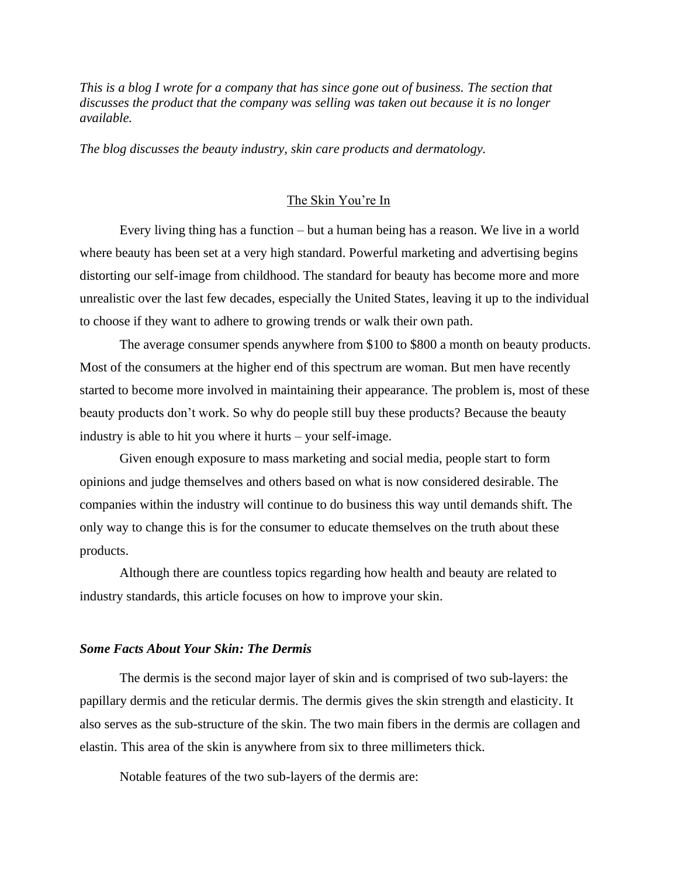*This is a blog I wrote for a company that has since gone out of business. The section that discusses the product that the company was selling was taken out because it is no longer available.*

*The blog discusses the beauty industry, skin care products and dermatology.*

# The Skin You're In

Every living thing has a function – but a human being has a reason. We live in a world where beauty has been set at a very high standard. Powerful marketing and advertising begins distorting our self-image from childhood. The standard for beauty has become more and more unrealistic over the last few decades, especially the United States, leaving it up to the individual to choose if they want to adhere to growing trends or walk their own path.

The average consumer spends anywhere from \$100 to \$800 a month on beauty products. Most of the consumers at the higher end of this spectrum are woman. But men have recently started to become more involved in maintaining their appearance. The problem is, most of these beauty products don't work. So why do people still buy these products? Because the beauty industry is able to hit you where it hurts – your self-image.

Given enough exposure to mass marketing and social media, people start to form opinions and judge themselves and others based on what is now considered desirable. The companies within the industry will continue to do business this way until demands shift. The only way to change this is for the consumer to educate themselves on the truth about these products.

Although there are countless topics regarding how health and beauty are related to industry standards, this article focuses on how to improve your skin.

### *Some Facts About Your Skin: The Dermis*

The dermis is the second major layer of skin and is comprised of two sub-layers: the papillary dermis and the reticular dermis. The dermis gives the skin strength and elasticity. It also serves as the sub-structure of the skin. The two main fibers in the dermis are collagen and elastin. This area of the skin is anywhere from six to three millimeters thick.

Notable features of the two sub-layers of the dermis are: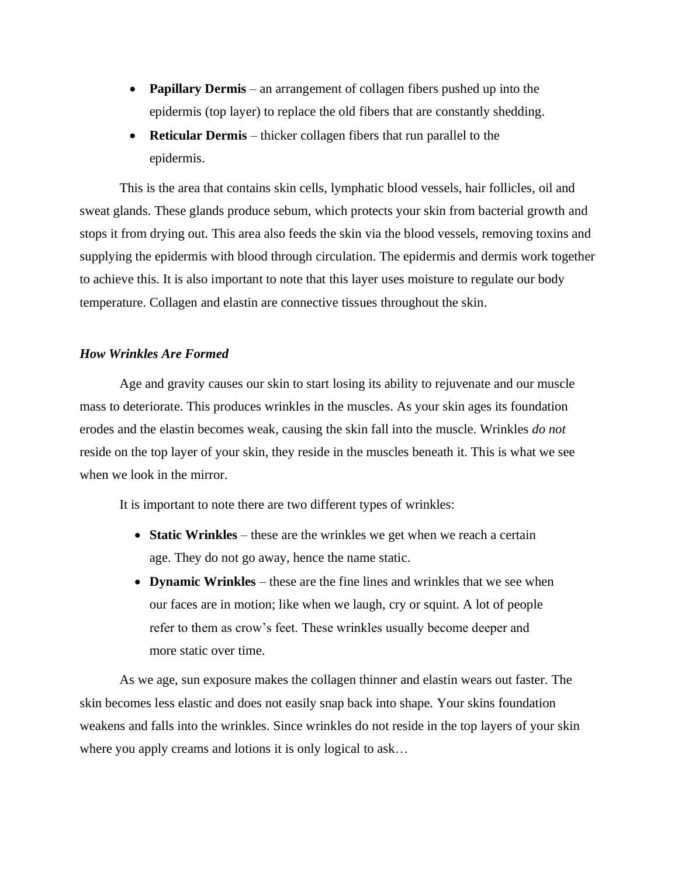- **Papillary Dermis** an arrangement of collagen fibers pushed up into the epidermis (top layer) to replace the old fibers that are constantly shedding.
- **Reticular Dermis** thicker collagen fibers that run parallel to the epidermis.

This is the area that contains skin cells, lymphatic blood vessels, hair follicles, oil and sweat glands. These glands produce sebum, which protects your skin from bacterial growth and stops it from drying out. This area also feeds the skin via the blood vessels, removing toxins and supplying the epidermis with blood through circulation. The epidermis and dermis work together to achieve this. It is also important to note that this layer uses moisture to regulate our body temperature. Collagen and elastin are connective tissues throughout the skin.

## *How Wrinkles Are Formed*

Age and gravity causes our skin to start losing its ability to rejuvenate and our muscle mass to deteriorate. This produces wrinkles in the muscles. As your skin ages its foundation erodes and the elastin becomes weak, causing the skin fall into the muscle. Wrinkles *do not* reside on the top layer of your skin, they reside in the muscles beneath it. This is what we see when we look in the mirror.

It is important to note there are two different types of wrinkles:

- **Static Wrinkles** these are the wrinkles we get when we reach a certain age. They do not go away, hence the name static.
- **Dynamic Wrinkles** these are the fine lines and wrinkles that we see when our faces are in motion; like when we laugh, cry or squint. A lot of people refer to them as crow's feet. These wrinkles usually become deeper and more static over time.

As we age, sun exposure makes the collagen thinner and elastin wears out faster. The skin becomes less elastic and does not easily snap back into shape. Your skins foundation weakens and falls into the wrinkles. Since wrinkles do not reside in the top layers of your skin where you apply creams and lotions it is only logical to ask…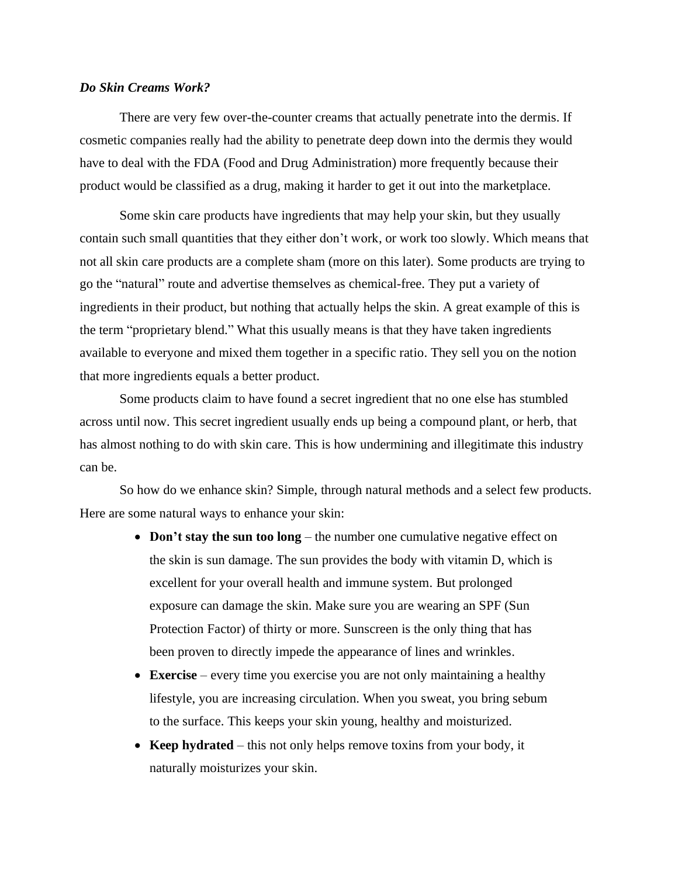### *Do Skin Creams Work?*

There are very few over-the-counter creams that actually penetrate into the dermis. If cosmetic companies really had the ability to penetrate deep down into the dermis they would have to deal with the FDA (Food and Drug Administration) more frequently because their product would be classified as a drug, making it harder to get it out into the marketplace.

Some skin care products have ingredients that may help your skin, but they usually contain such small quantities that they either don't work, or work too slowly. Which means that not all skin care products are a complete sham (more on this later). Some products are trying to go the "natural" route and advertise themselves as chemical-free. They put a variety of ingredients in their product, but nothing that actually helps the skin. A great example of this is the term "proprietary blend." What this usually means is that they have taken ingredients available to everyone and mixed them together in a specific ratio. They sell you on the notion that more ingredients equals a better product.

Some products claim to have found a secret ingredient that no one else has stumbled across until now. This secret ingredient usually ends up being a compound plant, or herb, that has almost nothing to do with skin care. This is how undermining and illegitimate this industry can be.

So how do we enhance skin? Simple, through natural methods and a select few products. Here are some natural ways to enhance your skin:

- **Don't stay the sun too long** the number one cumulative negative effect on the skin is sun damage. The sun provides the body with vitamin D, which is excellent for your overall health and immune system. But prolonged exposure can damage the skin. Make sure you are wearing an SPF (Sun Protection Factor) of thirty or more. Sunscreen is the only thing that has been proven to directly impede the appearance of lines and wrinkles.
- **Exercise** every time you exercise you are not only maintaining a healthy lifestyle, you are increasing circulation. When you sweat, you bring sebum to the surface. This keeps your skin young, healthy and moisturized.
- **Keep hydrated** this not only helps remove toxins from your body, it naturally moisturizes your skin.